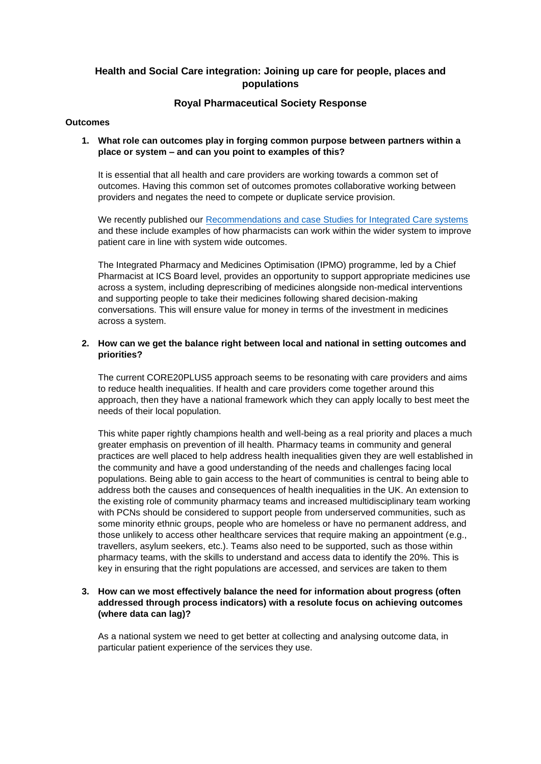# **Health and Social Care integration: Joining up care for people, places and populations**

# **Royal Pharmaceutical Society Response**

#### **Outcomes**

### **1. What role can outcomes play in forging common purpose between partners within a place or system – and can you point to examples of this?**

It is essential that all health and care providers are working towards a common set of outcomes. Having this common set of outcomes promotes collaborative working between providers and negates the need to compete or duplicate service provision.

We recently published our [Recommendations and case Studies for Integrated Care systems](https://www.rpharms.com/england/nhs-transformation/ics-recommendations) and these include examples of how pharmacists can work within the wider system to improve patient care in line with system wide outcomes.

The Integrated Pharmacy and Medicines Optimisation (IPMO) programme, led by a Chief Pharmacist at ICS Board level, provides an opportunity to support appropriate medicines use across a system, including deprescribing of medicines alongside non-medical interventions and supporting people to take their medicines following shared decision-making conversations. This will ensure value for money in terms of the investment in medicines across a system.

### **2. How can we get the balance right between local and national in setting outcomes and priorities?**

The current CORE20PLUS5 approach seems to be resonating with care providers and aims to reduce health inequalities. If health and care providers come together around this approach, then they have a national framework which they can apply locally to best meet the needs of their local population.

This white paper rightly champions health and well-being as a real priority and places a much greater emphasis on prevention of ill health. Pharmacy teams in community and general practices are well placed to help address health inequalities given they are well established in the community and have a good understanding of the needs and challenges facing local populations. Being able to gain access to the heart of communities is central to being able to address both the causes and consequences of health inequalities in the UK. An extension to the existing role of community pharmacy teams and increased multidisciplinary team working with PCNs should be considered to support people from underserved communities, such as some minority ethnic groups, people who are homeless or have no permanent address, and those unlikely to access other healthcare services that require making an appointment (e.g., travellers, asylum seekers, etc.). Teams also need to be supported, such as those within pharmacy teams, with the skills to understand and access data to identify the 20%. This is key in ensuring that the right populations are accessed, and services are taken to them

# **3. How can we most effectively balance the need for information about progress (often addressed through process indicators) with a resolute focus on achieving outcomes (where data can lag)?**

As a national system we need to get better at collecting and analysing outcome data, in particular patient experience of the services they use.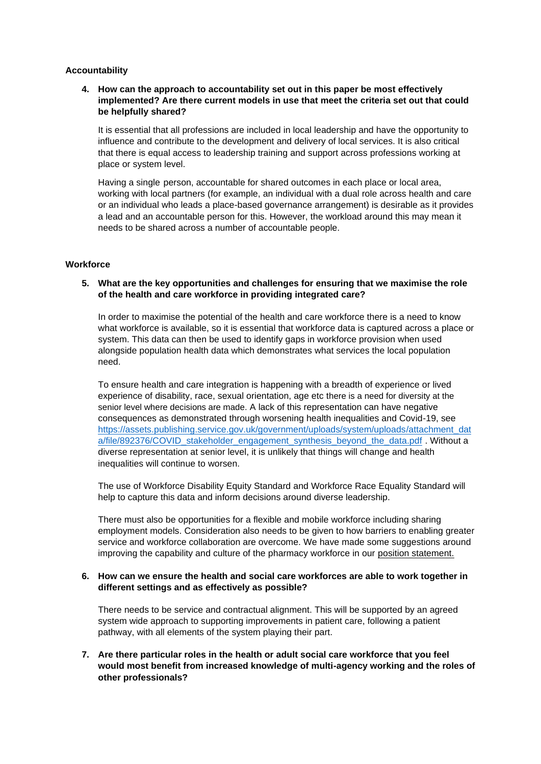#### **Accountability**

# **4. How can the approach to accountability set out in this paper be most effectively implemented? Are there current models in use that meet the criteria set out that could be helpfully shared?**

It is essential that all professions are included in local leadership and have the opportunity to influence and contribute to the development and delivery of local services. It is also critical that there is equal access to leadership training and support across professions working at place or system level.

Having a single person, accountable for shared outcomes in each place or local area, working with local partners (for example, an individual with a dual role across health and care or an individual who leads a place-based governance arrangement) is desirable as it provides a lead and an accountable person for this. However, the workload around this may mean it needs to be shared across a number of accountable people.

#### **Workforce**

# **5. What are the key opportunities and challenges for ensuring that we maximise the role of the health and care workforce in providing integrated care?**

In order to maximise the potential of the health and care workforce there is a need to know what workforce is available, so it is essential that workforce data is captured across a place or system. This data can then be used to identify gaps in workforce provision when used alongside population health data which demonstrates what services the local population need.

To ensure health and care integration is happening with a breadth of experience or lived experience of disability, race, sexual orientation, age etc there is a need for diversity at the senior level where decisions are made. A lack of this representation can have negative consequences as demonstrated through worsening health inequalities and Covid-19, see [https://assets.publishing.service.gov.uk/government/uploads/system/uploads/attachment\\_dat](https://assets.publishing.service.gov.uk/government/uploads/system/uploads/attachment_data/file/892376/COVID_stakeholder_engagement_synthesis_beyond_the_data.pdf) [a/file/892376/COVID\\_stakeholder\\_engagement\\_synthesis\\_beyond\\_the\\_data.pdf](https://assets.publishing.service.gov.uk/government/uploads/system/uploads/attachment_data/file/892376/COVID_stakeholder_engagement_synthesis_beyond_the_data.pdf) . Without a diverse representation at senior level, it is unlikely that things will change and health inequalities will continue to worsen.

The use of Workforce Disability Equity Standard and Workforce Race Equality Standard will help to capture this data and inform decisions around diverse leadership.

There must also be opportunities for a flexible and mobile workforce including sharing employment models. Consideration also needs to be given to how barriers to enabling greater service and workforce collaboration are overcome. We have made some suggestions around improving the capability and culture of the pharmacy workforce in our [position statement.](https://www.rpharms.com/recognition/all-our-campaigns/policy-a-z/workforce)

#### **6. How can we ensure the health and social care workforces are able to work together in different settings and as effectively as possible?**

There needs to be service and contractual alignment. This will be supported by an agreed system wide approach to supporting improvements in patient care, following a patient pathway, with all elements of the system playing their part.

**7. Are there particular roles in the health or adult social care workforce that you feel would most benefit from increased knowledge of multi-agency working and the roles of other professionals?**